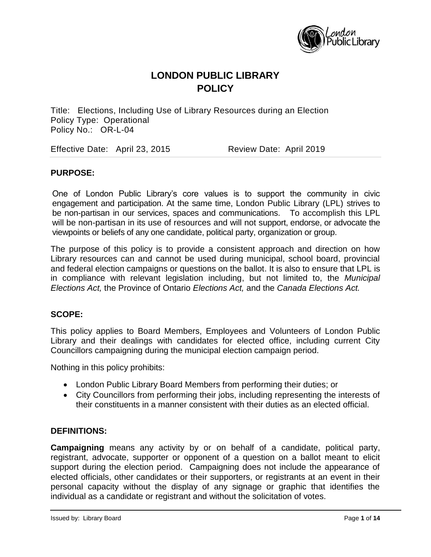

Title: Elections, Including Use of Library Resources during an Election Policy Type: Operational Policy No.: OR-L-04

Effective Date: April 23, 2015 Review Date: April 2019

### **PURPOSE:**

One of London Public Library's core values is to support the community in civic engagement and participation. At the same time, London Public Library (LPL) strives to be non-partisan in our services, spaces and communications. To accomplish this LPL will be non-partisan in its use of resources and will not support, endorse, or advocate the viewpoints or beliefs of any one candidate, political party, organization or group.

The purpose of this policy is to provide a consistent approach and direction on how Library resources can and cannot be used during municipal, school board, provincial and federal election campaigns or questions on the ballot. It is also to ensure that LPL is in compliance with relevant legislation including, but not limited to, the *Municipal Elections Act,* the Province of Ontario *Elections Act,* and the *Canada Elections Act.* 

#### **SCOPE:**

This policy applies to Board Members, Employees and Volunteers of London Public Library and their dealings with candidates for elected office, including current City Councillors campaigning during the municipal election campaign period.

Nothing in this policy prohibits:

- London Public Library Board Members from performing their duties; or
- City Councillors from performing their jobs, including representing the interests of their constituents in a manner consistent with their duties as an elected official.

#### **DEFINITIONS:**

**Campaigning** means any activity by or on behalf of a candidate, political party, registrant, advocate, supporter or opponent of a question on a ballot meant to elicit support during the election period. Campaigning does not include the appearance of elected officials, other candidates or their supporters, or registrants at an event in their personal capacity without the display of any signage or graphic that identifies the individual as a candidate or registrant and without the solicitation of votes.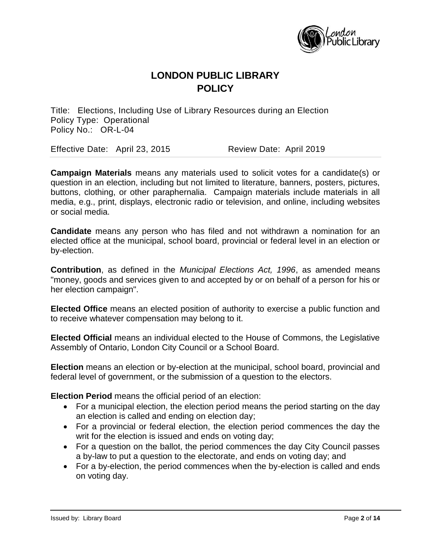

Title: Elections, Including Use of Library Resources during an Election Policy Type: Operational Policy No.: OR-L-04

Effective Date: April 23, 2015 Review Date: April 2019

**Campaign Materials** means any materials used to solicit votes for a candidate(s) or question in an election, including but not limited to literature, banners, posters, pictures, buttons, clothing, or other paraphernalia. Campaign materials include materials in all media, e.g., print, displays, electronic radio or television, and online, including websites or social media.

**Candidate** means any person who has filed and not withdrawn a nomination for an elected office at the municipal, school board, provincial or federal level in an election or by-election.

**Contribution**, as defined in the *Municipal Elections Act, 1996*, as amended means "money, goods and services given to and accepted by or on behalf of a person for his or her election campaign".

**Elected Office** means an elected position of authority to exercise a public function and to receive whatever compensation may belong to it.

**Elected Official** means an individual elected to the House of Commons, the Legislative Assembly of Ontario, London City Council or a School Board.

**Election** means an election or by-election at the municipal, school board, provincial and federal level of government, or the submission of a question to the electors.

**Election Period** means the official period of an election:

- For a municipal election, the election period means the period starting on the day an election is called and ending on election day;
- For a provincial or federal election, the election period commences the day the writ for the election is issued and ends on voting day;
- For a question on the ballot, the period commences the day City Council passes a by-law to put a question to the electorate, and ends on voting day; and
- For a by-election, the period commences when the by-election is called and ends on voting day.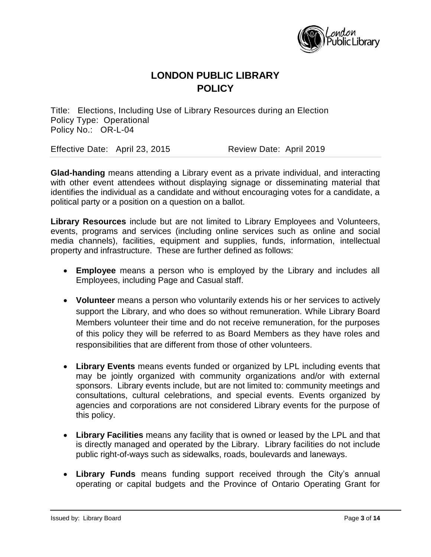

Title: Elections, Including Use of Library Resources during an Election Policy Type: Operational Policy No.: OR-L-04

Effective Date: April 23, 2015 Review Date: April 2019

**Glad-handing** means attending a Library event as a private individual, and interacting with other event attendees without displaying signage or disseminating material that identifies the individual as a candidate and without encouraging votes for a candidate, a political party or a position on a question on a ballot.

**Library Resources** include but are not limited to Library Employees and Volunteers, events, programs and services (including online services such as online and social media channels), facilities, equipment and supplies, funds, information, intellectual property and infrastructure. These are further defined as follows:

- **Employee** means a person who is employed by the Library and includes all Employees, including Page and Casual staff.
- **Volunteer** means a person who voluntarily extends his or her services to actively support the Library, and who does so without remuneration. While Library Board Members volunteer their time and do not receive remuneration, for the purposes of this policy they will be referred to as Board Members as they have roles and responsibilities that are different from those of other volunteers.
- **Library Events** means events funded or organized by LPL including events that may be jointly organized with community organizations and/or with external sponsors. Library events include, but are not limited to: community meetings and consultations, cultural celebrations, and special events. Events organized by agencies and corporations are not considered Library events for the purpose of this policy.
- **Library Facilities** means any facility that is owned or leased by the LPL and that is directly managed and operated by the Library. Library facilities do not include public right-of-ways such as sidewalks, roads, boulevards and laneways.
- **Library Funds** means funding support received through the City's annual operating or capital budgets and the Province of Ontario Operating Grant for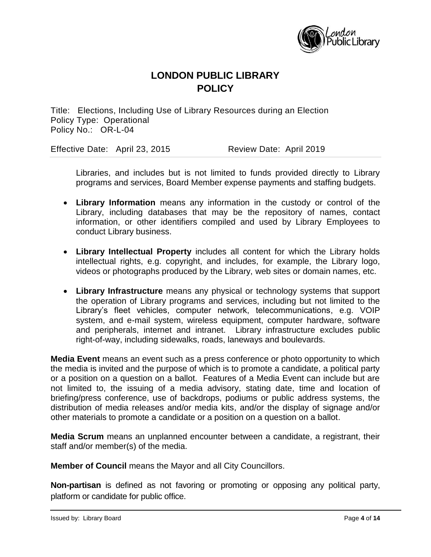

Title: Elections, Including Use of Library Resources during an Election Policy Type: Operational Policy No.: OR-L-04

Effective Date: April 23, 2015 Review Date: April 2019

Libraries, and includes but is not limited to funds provided directly to Library programs and services, Board Member expense payments and staffing budgets.

- **Library Information** means any information in the custody or control of the Library, including databases that may be the repository of names, contact information, or other identifiers compiled and used by Library Employees to conduct Library business.
- **Library Intellectual Property** includes all content for which the Library holds intellectual rights, e.g. copyright, and includes, for example, the Library logo, videos or photographs produced by the Library, web sites or domain names, etc.
- **Library Infrastructure** means any physical or technology systems that support the operation of Library programs and services, including but not limited to the Library's fleet vehicles, computer network, telecommunications, e.g. VOIP system, and e-mail system, wireless equipment, computer hardware, software and peripherals, internet and intranet. Library infrastructure excludes public right-of-way, including sidewalks, roads, laneways and boulevards.

**Media Event** means an event such as a press conference or photo opportunity to which the media is invited and the purpose of which is to promote a candidate, a political party or a position on a question on a ballot. Features of a Media Event can include but are not limited to, the issuing of a media advisory, stating date, time and location of briefing/press conference, use of backdrops, podiums or public address systems, the distribution of media releases and/or media kits, and/or the display of signage and/or other materials to promote a candidate or a position on a question on a ballot.

**Media Scrum** means an unplanned encounter between a candidate, a registrant, their staff and/or member(s) of the media.

**Member of Council** means the Mayor and all City Councillors.

**Non-partisan** is defined as not favoring or promoting or opposing any political party, platform or candidate for public office.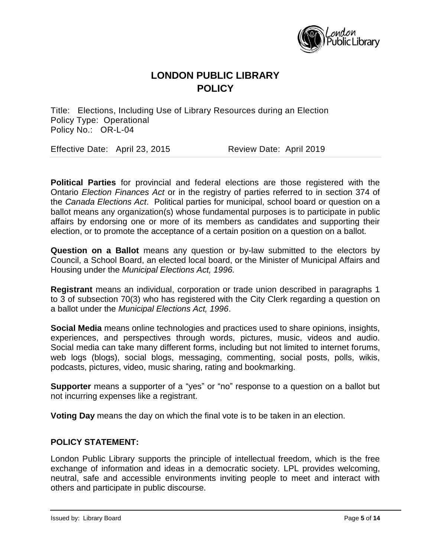

Title: Elections, Including Use of Library Resources during an Election Policy Type: Operational Policy No.: OR-L-04

Effective Date: April 23, 2015 Review Date: April 2019

**Political Parties** for provincial and federal elections are those registered with the Ontario *Election Finances Act* or in the registry of parties referred to in section 374 of the *Canada Elections Act*. Political parties for municipal, school board or question on a ballot means any organization(s) whose fundamental purposes is to participate in public affairs by endorsing one or more of its members as candidates and supporting their election, or to promote the acceptance of a certain position on a question on a ballot.

**Question on a Ballot** means any question or by-law submitted to the electors by Council, a School Board, an elected local board, or the Minister of Municipal Affairs and Housing under the *Municipal Elections Act, 1996.*

**Registrant** means an individual, corporation or trade union described in paragraphs 1 to 3 of subsection 70(3) who has registered with the City Clerk regarding a question on a ballot under the *Municipal Elections Act, 1996*.

**Social Media** means online technologies and practices used to share opinions, insights, experiences, and perspectives through words, pictures, music, videos and audio. Social media can take many different forms, including but not limited to internet forums, web logs (blogs), social blogs, messaging, commenting, social posts, polls, wikis, podcasts, pictures, video, music sharing, rating and bookmarking.

**Supporter** means a supporter of a "yes" or "no" response to a question on a ballot but not incurring expenses like a registrant.

**Voting Day** means the day on which the final vote is to be taken in an election.

### **POLICY STATEMENT:**

London Public Library supports the principle of intellectual freedom, which is the free exchange of information and ideas in a democratic society. LPL provides welcoming, neutral, safe and accessible environments inviting people to meet and interact with others and participate in public discourse.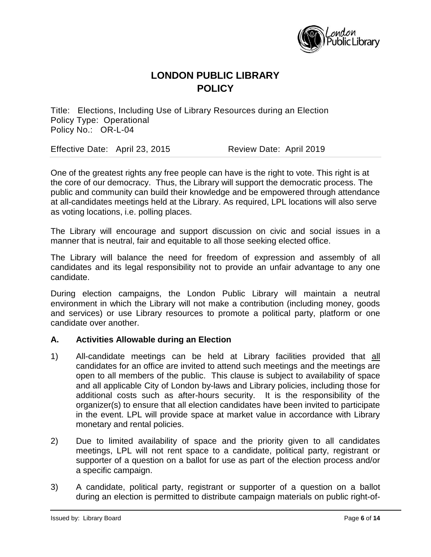

Title: Elections, Including Use of Library Resources during an Election Policy Type: Operational Policy No.: OR-L-04

Effective Date: April 23, 2015 Review Date: April 2019

One of the greatest rights any free people can have is the right to vote. This right is at the core of our democracy. Thus, the Library will support the democratic process. The public and community can build their knowledge and be empowered through attendance at all-candidates meetings held at the Library. As required, LPL locations will also serve as voting locations, i.e. polling places.

The Library will encourage and support discussion on civic and social issues in a manner that is neutral, fair and equitable to all those seeking elected office.

The Library will balance the need for freedom of expression and assembly of all candidates and its legal responsibility not to provide an unfair advantage to any one candidate.

During election campaigns, the London Public Library will maintain a neutral environment in which the Library will not make a contribution (including money, goods and services) or use Library resources to promote a political party, platform or one candidate over another.

### **A. Activities Allowable during an Election**

- 1) All-candidate meetings can be held at Library facilities provided that all candidates for an office are invited to attend such meetings and the meetings are open to all members of the public. This clause is subject to availability of space and all applicable City of London by-laws and Library policies, including those for additional costs such as after-hours security. It is the responsibility of the organizer(s) to ensure that all election candidates have been invited to participate in the event. LPL will provide space at market value in accordance with Library monetary and rental policies.
- 2) Due to limited availability of space and the priority given to all candidates meetings, LPL will not rent space to a candidate, political party, registrant or supporter of a question on a ballot for use as part of the election process and/or a specific campaign.
- 3) A candidate, political party, registrant or supporter of a question on a ballot during an election is permitted to distribute campaign materials on public right-of-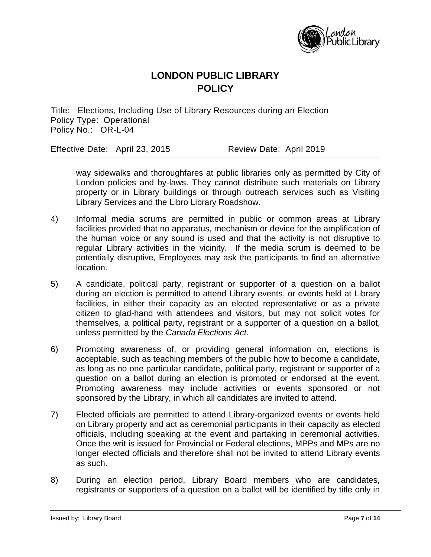

Title: Elections, Including Use of Library Resources during an Election Policy Type: Operational Policy No.: OR-L-04

Effective Date: April 23, 2015 Review Date: April 2019

way sidewalks and thoroughfares at public libraries only as permitted by City of London policies and by-laws. They cannot distribute such materials on Library property or in Library buildings or through outreach services such as Visiting Library Services and the Libro Library Roadshow.

- 4) Informal media scrums are permitted in public or common areas at Library facilities provided that no apparatus, mechanism or device for the amplification of the human voice or any sound is used and that the activity is not disruptive to regular Library activities in the vicinity. If the media scrum is deemed to be potentially disruptive, Employees may ask the participants to find an alternative location.
- 5) A candidate, political party, registrant or supporter of a question on a ballot during an election is permitted to attend Library events, or events held at Library facilities, in either their capacity as an elected representative or as a private citizen to glad-hand with attendees and visitors, but may not solicit votes for themselves, a political party, registrant or a supporter of a question on a ballot, unless permitted by the *Canada Elections Act*.
- 6) Promoting awareness of, or providing general information on, elections is acceptable, such as teaching members of the public how to become a candidate, as long as no one particular candidate, political party, registrant or supporter of a question on a ballot during an election is promoted or endorsed at the event. Promoting awareness may include activities or events sponsored or not sponsored by the Library, in which all candidates are invited to attend.
- 7) Elected officials are permitted to attend Library-organized events or events held on Library property and act as ceremonial participants in their capacity as elected officials, including speaking at the event and partaking in ceremonial activities. Once the writ is issued for Provincial or Federal elections, MPPs and MPs are no longer elected officials and therefore shall not be invited to attend Library events as such.
- 8) During an election period, Library Board members who are candidates, registrants or supporters of a question on a ballot will be identified by title only in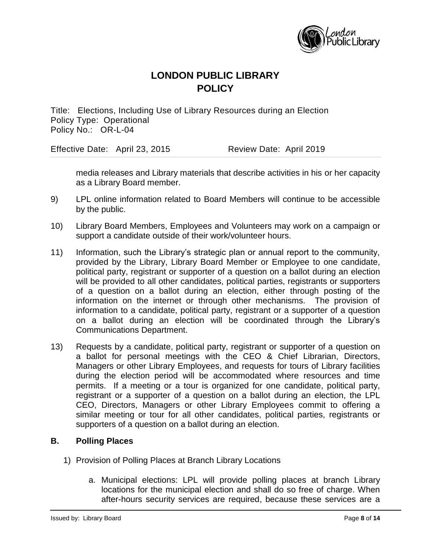

Title: Elections, Including Use of Library Resources during an Election Policy Type: Operational Policy No.: OR-L-04

Effective Date: April 23, 2015 Review Date: April 2019

media releases and Library materials that describe activities in his or her capacity as a Library Board member.

- 9) LPL online information related to Board Members will continue to be accessible by the public.
- 10) Library Board Members, Employees and Volunteers may work on a campaign or support a candidate outside of their work/volunteer hours.
- 11) Information, such the Library's strategic plan or annual report to the community, provided by the Library, Library Board Member or Employee to one candidate, political party, registrant or supporter of a question on a ballot during an election will be provided to all other candidates, political parties, registrants or supporters of a question on a ballot during an election, either through posting of the information on the internet or through other mechanisms. The provision of information to a candidate, political party, registrant or a supporter of a question on a ballot during an election will be coordinated through the Library's Communications Department.
- 13) Requests by a candidate, political party, registrant or supporter of a question on a ballot for personal meetings with the CEO & Chief Librarian, Directors, Managers or other Library Employees, and requests for tours of Library facilities during the election period will be accommodated where resources and time permits. If a meeting or a tour is organized for one candidate, political party, registrant or a supporter of a question on a ballot during an election, the LPL CEO, Directors, Managers or other Library Employees commit to offering a similar meeting or tour for all other candidates, political parties, registrants or supporters of a question on a ballot during an election.

### **B. Polling Places**

- 1) Provision of Polling Places at Branch Library Locations
	- a. Municipal elections: LPL will provide polling places at branch Library locations for the municipal election and shall do so free of charge. When after-hours security services are required, because these services are a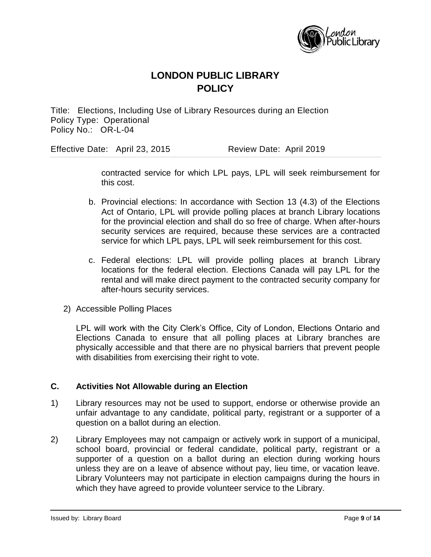

Title: Elections, Including Use of Library Resources during an Election Policy Type: Operational Policy No.: OR-L-04

Effective Date: April 23, 2015 Review Date: April 2019

contracted service for which LPL pays, LPL will seek reimbursement for this cost.

- b. Provincial elections: In accordance with Section 13 (4.3) of the Elections Act of Ontario, LPL will provide polling places at branch Library locations for the provincial election and shall do so free of charge. When after-hours security services are required, because these services are a contracted service for which LPL pays, LPL will seek reimbursement for this cost.
- c. Federal elections: LPL will provide polling places at branch Library locations for the federal election. Elections Canada will pay LPL for the rental and will make direct payment to the contracted security company for after-hours security services.
- 2) Accessible Polling Places

LPL will work with the City Clerk's Office, City of London, Elections Ontario and Elections Canada to ensure that all polling places at Library branches are physically accessible and that there are no physical barriers that prevent people with disabilities from exercising their right to vote.

### **C. Activities Not Allowable during an Election**

- 1) Library resources may not be used to support, endorse or otherwise provide an unfair advantage to any candidate, political party, registrant or a supporter of a question on a ballot during an election.
- 2) Library Employees may not campaign or actively work in support of a municipal, school board, provincial or federal candidate, political party, registrant or a supporter of a question on a ballot during an election during working hours unless they are on a leave of absence without pay, lieu time, or vacation leave. Library Volunteers may not participate in election campaigns during the hours in which they have agreed to provide volunteer service to the Library.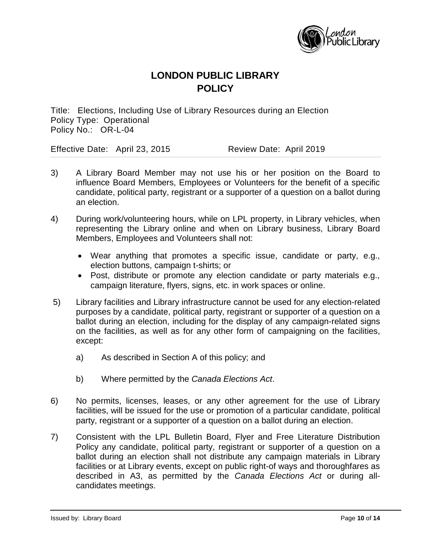

Title: Elections, Including Use of Library Resources during an Election Policy Type: Operational Policy No.: OR-L-04

Effective Date: April 23, 2015 Review Date: April 2019

- 3) A Library Board Member may not use his or her position on the Board to influence Board Members, Employees or Volunteers for the benefit of a specific candidate, political party, registrant or a supporter of a question on a ballot during an election.
- 4) During work/volunteering hours, while on LPL property, in Library vehicles, when representing the Library online and when on Library business, Library Board Members, Employees and Volunteers shall not:
	- Wear anything that promotes a specific issue, candidate or party, e.g., election buttons, campaign t-shirts; or
	- Post, distribute or promote any election candidate or party materials e.g., campaign literature, flyers, signs, etc. in work spaces or online.
- 5) Library facilities and Library infrastructure cannot be used for any election-related purposes by a candidate, political party, registrant or supporter of a question on a ballot during an election, including for the display of any campaign-related signs on the facilities, as well as for any other form of campaigning on the facilities, except:
	- a) As described in Section A of this policy; and
	- b) Where permitted by the *Canada Elections Act*.
- 6) No permits, licenses, leases, or any other agreement for the use of Library facilities, will be issued for the use or promotion of a particular candidate, political party, registrant or a supporter of a question on a ballot during an election.
- 7) Consistent with the LPL Bulletin Board, Flyer and Free Literature Distribution Policy any candidate, political party, registrant or supporter of a question on a ballot during an election shall not distribute any campaign materials in Library facilities or at Library events, except on public right-of ways and thoroughfares as described in A3, as permitted by the *Canada Elections Act* or during allcandidates meetings.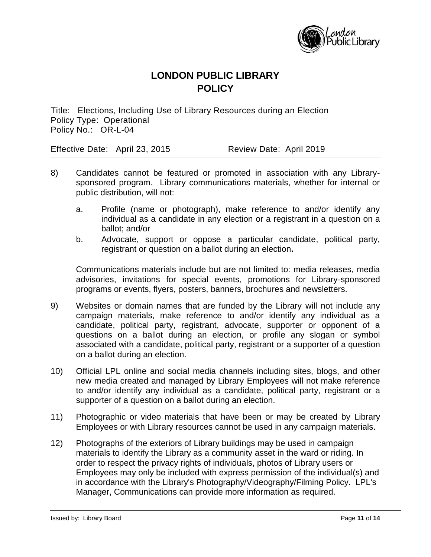

Title: Elections, Including Use of Library Resources during an Election Policy Type: Operational Policy No.: OR-L-04

Effective Date: April 23, 2015 Review Date: April 2019

- 8) Candidates cannot be featured or promoted in association with any Librarysponsored program. Library communications materials, whether for internal or public distribution, will not:
	- a. Profile (name or photograph), make reference to and/or identify any individual as a candidate in any election or a registrant in a question on a ballot; and/or
	- b. Advocate, support or oppose a particular candidate, political party, registrant or question on a ballot during an election**.**

Communications materials include but are not limited to: media releases, media advisories, invitations for special events, promotions for Library-sponsored programs or events, flyers, posters, banners, brochures and newsletters.

- 9) Websites or domain names that are funded by the Library will not include any campaign materials, make reference to and/or identify any individual as a candidate, political party, registrant, advocate, supporter or opponent of a questions on a ballot during an election, or profile any slogan or symbol associated with a candidate, political party, registrant or a supporter of a question on a ballot during an election.
- 10) Official LPL online and social media channels including sites, blogs, and other new media created and managed by Library Employees will not make reference to and/or identify any individual as a candidate, political party, registrant or a supporter of a question on a ballot during an election.
- 11) Photographic or video materials that have been or may be created by Library Employees or with Library resources cannot be used in any campaign materials.
- 12) Photographs of the exteriors of Library buildings may be used in campaign materials to identify the Library as a community asset in the ward or riding. In order to respect the privacy rights of individuals, photos of Library users or Employees may only be included with express permission of the individual(s) and in accordance with the Library's Photography/Videography/Filming Policy. LPL's Manager, Communications can provide more information as required.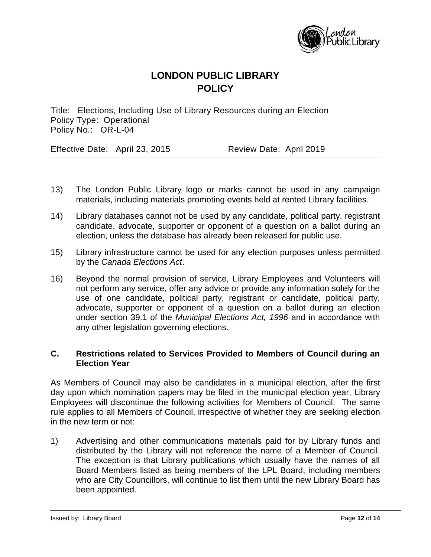

Title: Elections, Including Use of Library Resources during an Election Policy Type: Operational Policy No.: OR-L-04

Effective Date: April 23, 2015 Review Date: April 2019

- 13) The London Public Library logo or marks cannot be used in any campaign materials, including materials promoting events held at rented Library facilities.
- 14) Library databases cannot not be used by any candidate, political party, registrant candidate, advocate, supporter or opponent of a question on a ballot during an election, unless the database has already been released for public use.
- 15) Library infrastructure cannot be used for any election purposes unless permitted by the *Canada Elections Act*.
- 16) Beyond the normal provision of service, Library Employees and Volunteers will not perform any service, offer any advice or provide any information solely for the use of one candidate, political party, registrant or candidate, political party, advocate, supporter or opponent of a question on a ballot during an election under section 39.1 of the *Municipal Elections Act, 1996* and in accordance with any other legislation governing elections.

### **C. Restrictions related to Services Provided to Members of Council during an Election Year**

As Members of Council may also be candidates in a municipal election, after the first day upon which nomination papers may be filed in the municipal election year, Library Employees will discontinue the following activities for Members of Council. The same rule applies to all Members of Council, irrespective of whether they are seeking election in the new term or not:

1) Advertising and other communications materials paid for by Library funds and distributed by the Library will not reference the name of a Member of Council. The exception is that Library publications which usually have the names of all Board Members listed as being members of the LPL Board, including members who are City Councillors, will continue to list them until the new Library Board has been appointed.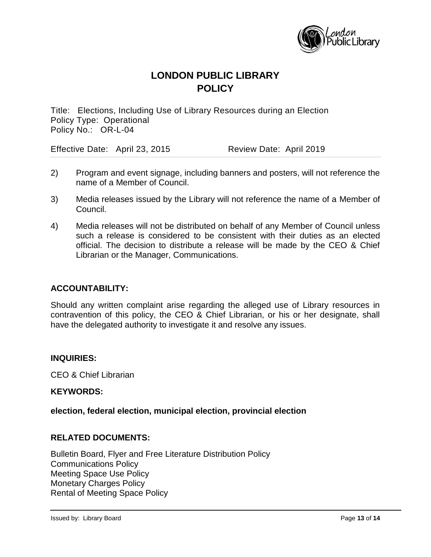

Title: Elections, Including Use of Library Resources during an Election Policy Type: Operational Policy No.: OR-L-04

Effective Date: April 23, 2015 Review Date: April 2019

- 2) Program and event signage, including banners and posters, will not reference the name of a Member of Council.
- 3) Media releases issued by the Library will not reference the name of a Member of Council.
- 4) Media releases will not be distributed on behalf of any Member of Council unless such a release is considered to be consistent with their duties as an elected official. The decision to distribute a release will be made by the CEO & Chief Librarian or the Manager, Communications.

### **ACCOUNTABILITY:**

Should any written complaint arise regarding the alleged use of Library resources in contravention of this policy, the CEO & Chief Librarian, or his or her designate, shall have the delegated authority to investigate it and resolve any issues.

#### **INQUIRIES:**

CEO & Chief Librarian

#### **KEYWORDS:**

#### **election, federal election, municipal election, provincial election**

#### **RELATED DOCUMENTS:**

Bulletin Board, Flyer and Free Literature Distribution Policy Communications Policy Meeting Space Use Policy Monetary Charges Policy Rental of Meeting Space Policy